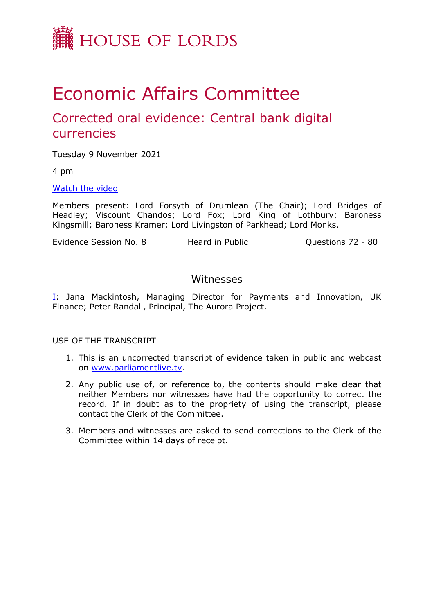

# Economic Affairs Committee

# Corrected oral evidence: Central bank digital currencies

Tuesday 9 November 2021

4 pm

[Watch](https://www.parliamentlive.tv/Event/Index/b263c8f1-3222-4c5f-abff-ffaff63c37c2) [the](https://www.parliamentlive.tv/Event/Index/b263c8f1-3222-4c5f-abff-ffaff63c37c2) [video](https://www.parliamentlive.tv/Event/Index/b263c8f1-3222-4c5f-abff-ffaff63c37c2)

Members present: Lord Forsyth of Drumlean (The Chair); Lord Bridges of Headley; Viscount Chandos; Lord Fox; Lord King of Lothbury; Baroness Kingsmill; Baroness Kramer; Lord Livingston of Parkhead; Lord Monks.

Evidence Session No. 8 **Heard in Public** Cuestions 72 - 80

### Witnesses

[I:](#page-1-0) Jana Mackintosh, Managing Director for Payments and Innovation, UK Finance; Peter Randall, Principal, The Aurora Project.

USE OF THE TRANSCRIPT

- 1. This is an uncorrected transcript of evidence taken in public and webcast on [www.parliamentlive.tv.](http://www.parliamentlive.tv/)
- 2. Any public use of, or reference to, the contents should make clear that neither Members nor witnesses have had the opportunity to correct the record. If in doubt as to the propriety of using the transcript, please contact the Clerk of the Committee.
- 3. Members and witnesses are asked to send corrections to the Clerk of the Committee within 14 days of receipt.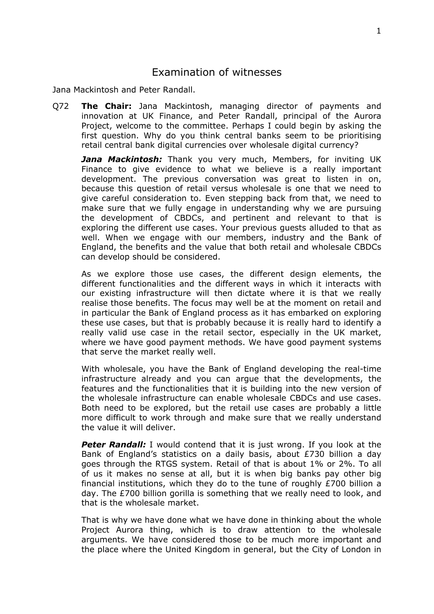## <span id="page-1-0"></span>Examination of witnesses

Jana Mackintosh and Peter Randall.

Q72 **The Chair:** Jana Mackintosh, managing director of payments and innovation at UK Finance, and Peter Randall, principal of the Aurora Project, welcome to the committee. Perhaps I could begin by asking the first question. Why do you think central banks seem to be prioritising retail central bank digital currencies over wholesale digital currency?

*Jana Mackintosh:* Thank you very much, Members, for inviting UK Finance to give evidence to what we believe is a really important development. The previous conversation was great to listen in on, because this question of retail versus wholesale is one that we need to give careful consideration to. Even stepping back from that, we need to make sure that we fully engage in understanding why we are pursuing the development of CBDCs, and pertinent and relevant to that is exploring the different use cases. Your previous guests alluded to that as well. When we engage with our members, industry and the Bank of England, the benefits and the value that both retail and wholesale CBDCs can develop should be considered.

As we explore those use cases, the different design elements, the different functionalities and the different ways in which it interacts with our existing infrastructure will then dictate where it is that we really realise those benefits. The focus may well be at the moment on retail and in particular the Bank of England process as it has embarked on exploring these use cases, but that is probably because it is really hard to identify a really valid use case in the retail sector, especially in the UK market, where we have good payment methods. We have good payment systems that serve the market really well.

With wholesale, you have the Bank of England developing the real-time infrastructure already and you can argue that the developments, the features and the functionalities that it is building into the new version of the wholesale infrastructure can enable wholesale CBDCs and use cases. Both need to be explored, but the retail use cases are probably a little more difficult to work through and make sure that we really understand the value it will deliver.

**Peter Randall:** I would contend that it is just wrong. If you look at the Bank of England's statistics on a daily basis, about £730 billion a day goes through the RTGS system. Retail of that is about 1% or 2%. To all of us it makes no sense at all, but it is when big banks pay other big financial institutions, which they do to the tune of roughly £700 billion a day. The £700 billion gorilla is something that we really need to look, and that is the wholesale market.

That is why we have done what we have done in thinking about the whole Project Aurora thing, which is to draw attention to the wholesale arguments. We have considered those to be much more important and the place where the United Kingdom in general, but the City of London in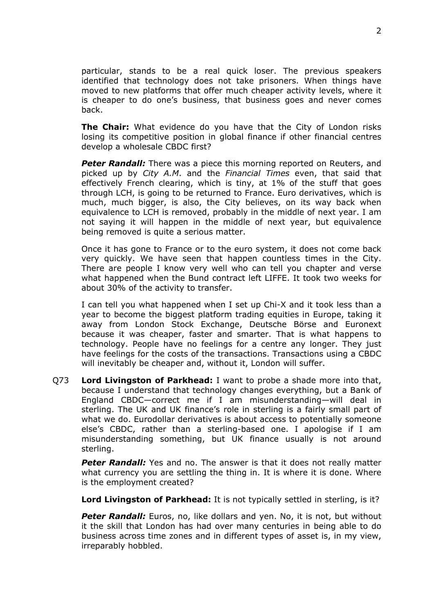particular, stands to be a real quick loser. The previous speakers identified that technology does not take prisoners. When things have moved to new platforms that offer much cheaper activity levels, where it is cheaper to do one's business, that business goes and never comes back.

**The Chair:** What evidence do you have that the City of London risks losing its competitive position in global finance if other financial centres develop a wholesale CBDC first?

**Peter Randall:** There was a piece this morning reported on Reuters, and picked up by *City A.M*. and the *Financial Times* even, that said that effectively French clearing, which is tiny, at 1% of the stuff that goes through LCH, is going to be returned to France. Euro derivatives, which is much, much bigger, is also, the City believes, on its way back when equivalence to LCH is removed, probably in the middle of next year. I am not saying it will happen in the middle of next year, but equivalence being removed is quite a serious matter.

Once it has gone to France or to the euro system, it does not come back very quickly. We have seen that happen countless times in the City. There are people I know very well who can tell you chapter and verse what happened when the Bund contract left LIFFE. It took two weeks for about 30% of the activity to transfer.

I can tell you what happened when I set up Chi-X and it took less than a year to become the biggest platform trading equities in Europe, taking it away from London Stock Exchange, Deutsche Börse and Euronext because it was cheaper, faster and smarter. That is what happens to technology. People have no feelings for a centre any longer. They just have feelings for the costs of the transactions. Transactions using a CBDC will inevitably be cheaper and, without it, London will suffer.

Q73 **Lord Livingston of Parkhead:** I want to probe a shade more into that, because I understand that technology changes everything, but a Bank of England CBDC—correct me if I am misunderstanding—will deal in sterling. The UK and UK finance's role in sterling is a fairly small part of what we do. Eurodollar derivatives is about access to potentially someone else's CBDC, rather than a sterling-based one. I apologise if I am misunderstanding something, but UK finance usually is not around sterling.

**Peter Randall:** Yes and no. The answer is that it does not really matter what currency you are settling the thing in. It is where it is done. Where is the employment created?

**Lord Livingston of Parkhead:** It is not typically settled in sterling, is it?

**Peter Randall:** Euros, no, like dollars and yen. No, it is not, but without it the skill that London has had over many centuries in being able to do business across time zones and in different types of asset is, in my view, irreparably hobbled.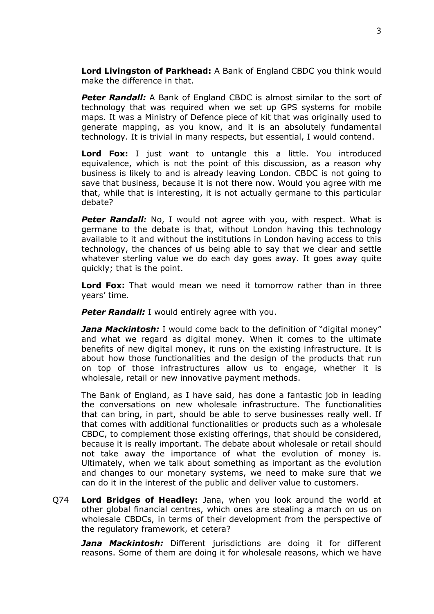**Lord Livingston of Parkhead:** A Bank of England CBDC you think would make the difference in that.

**Peter Randall:** A Bank of England CBDC is almost similar to the sort of technology that was required when we set up GPS systems for mobile maps. It was a Ministry of Defence piece of kit that was originally used to generate mapping, as you know, and it is an absolutely fundamental technology. It is trivial in many respects, but essential, I would contend.

**Lord Fox:** I just want to untangle this a little. You introduced equivalence, which is not the point of this discussion, as a reason why business is likely to and is already leaving London. CBDC is not going to save that business, because it is not there now. Would you agree with me that, while that is interesting, it is not actually germane to this particular debate?

**Peter Randall:** No, I would not agree with you, with respect. What is germane to the debate is that, without London having this technology available to it and without the institutions in London having access to this technology, the chances of us being able to say that we clear and settle whatever sterling value we do each day goes away. It goes away quite quickly; that is the point.

**Lord Fox:** That would mean we need it tomorrow rather than in three years' time.

**Peter Randall:** I would entirely agree with you.

*Jana Mackintosh:* I would come back to the definition of "digital money" and what we regard as digital money. When it comes to the ultimate benefits of new digital money, it runs on the existing infrastructure. It is about how those functionalities and the design of the products that run on top of those infrastructures allow us to engage, whether it is wholesale, retail or new innovative payment methods.

The Bank of England, as I have said, has done a fantastic job in leading the conversations on new wholesale infrastructure. The functionalities that can bring, in part, should be able to serve businesses really well. If that comes with additional functionalities or products such as a wholesale CBDC, to complement those existing offerings, that should be considered, because it is really important. The debate about wholesale or retail should not take away the importance of what the evolution of money is. Ultimately, when we talk about something as important as the evolution and changes to our monetary systems, we need to make sure that we can do it in the interest of the public and deliver value to customers.

Q74 **Lord Bridges of Headley:** Jana, when you look around the world at other global financial centres, which ones are stealing a march on us on wholesale CBDCs, in terms of their development from the perspective of the regulatory framework, et cetera?

*Jana Mackintosh:* Different jurisdictions are doing it for different reasons. Some of them are doing it for wholesale reasons, which we have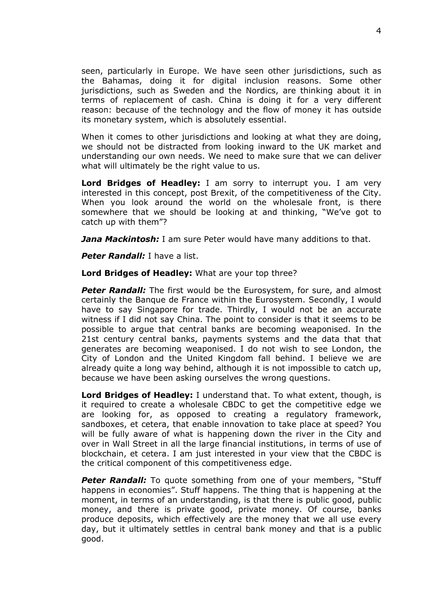seen, particularly in Europe. We have seen other jurisdictions, such as the Bahamas, doing it for digital inclusion reasons. Some other jurisdictions, such as Sweden and the Nordics, are thinking about it in terms of replacement of cash. China is doing it for a very different reason: because of the technology and the flow of money it has outside its monetary system, which is absolutely essential.

When it comes to other jurisdictions and looking at what they are doing, we should not be distracted from looking inward to the UK market and understanding our own needs. We need to make sure that we can deliver what will ultimately be the right value to us.

**Lord Bridges of Headley:** I am sorry to interrupt you. I am very interested in this concept, post Brexit, of the competitiveness of the City. When you look around the world on the wholesale front, is there somewhere that we should be looking at and thinking, "We've got to catch up with them"?

*Jana Mackintosh:* I am sure Peter would have many additions to that.

*Peter Randall:* I have a list.

**Lord Bridges of Headley:** What are your top three?

*Peter Randall:* The first would be the Eurosystem, for sure, and almost certainly the Banque de France within the Eurosystem. Secondly, I would have to say Singapore for trade. Thirdly, I would not be an accurate witness if I did not say China. The point to consider is that it seems to be possible to argue that central banks are becoming weaponised. In the 21st century central banks, payments systems and the data that that generates are becoming weaponised. I do not wish to see London, the City of London and the United Kingdom fall behind. I believe we are already quite a long way behind, although it is not impossible to catch up, because we have been asking ourselves the wrong questions.

**Lord Bridges of Headley:** I understand that. To what extent, though, is it required to create a wholesale CBDC to get the competitive edge we are looking for, as opposed to creating a regulatory framework, sandboxes, et cetera, that enable innovation to take place at speed? You will be fully aware of what is happening down the river in the City and over in Wall Street in all the large financial institutions, in terms of use of blockchain, et cetera. I am just interested in your view that the CBDC is the critical component of this competitiveness edge.

**Peter Randall:** To quote something from one of your members, "Stuff happens in economies". Stuff happens. The thing that is happening at the moment, in terms of an understanding, is that there is public good, public money, and there is private good, private money. Of course, banks produce deposits, which effectively are the money that we all use every day, but it ultimately settles in central bank money and that is a public good.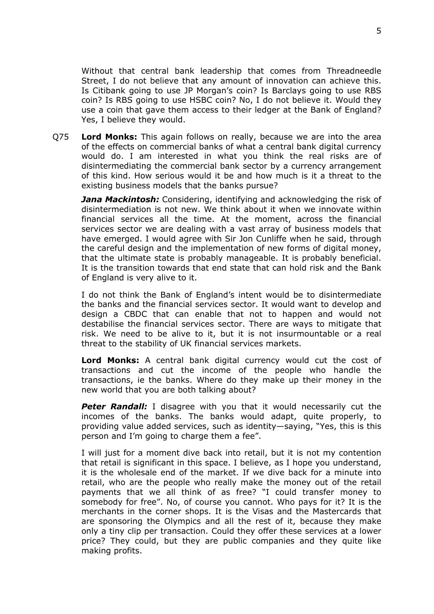Without that central bank leadership that comes from Threadneedle Street, I do not believe that any amount of innovation can achieve this. Is Citibank going to use JP Morgan's coin? Is Barclays going to use RBS coin? Is RBS going to use HSBC coin? No, I do not believe it. Would they use a coin that gave them access to their ledger at the Bank of England? Yes, I believe they would.

Q75 **Lord Monks:** This again follows on really, because we are into the area of the effects on commercial banks of what a central bank digital currency would do. I am interested in what you think the real risks are of disintermediating the commercial bank sector by a currency arrangement of this kind. How serious would it be and how much is it a threat to the existing business models that the banks pursue?

*Jana Mackintosh:* Considering, identifying and acknowledging the risk of disintermediation is not new. We think about it when we innovate within financial services all the time. At the moment, across the financial services sector we are dealing with a vast array of business models that have emerged. I would agree with Sir Jon Cunliffe when he said, through the careful design and the implementation of new forms of digital money, that the ultimate state is probably manageable. It is probably beneficial. It is the transition towards that end state that can hold risk and the Bank of England is very alive to it.

I do not think the Bank of England's intent would be to disintermediate the banks and the financial services sector. It would want to develop and design a CBDC that can enable that not to happen and would not destabilise the financial services sector. There are ways to mitigate that risk. We need to be alive to it, but it is not insurmountable or a real threat to the stability of UK financial services markets.

**Lord Monks:** A central bank digital currency would cut the cost of transactions and cut the income of the people who handle the transactions, ie the banks. Where do they make up their money in the new world that you are both talking about?

**Peter Randall:** I disagree with you that it would necessarily cut the incomes of the banks. The banks would adapt, quite properly, to providing value added services, such as identity—saying, "Yes, this is this person and I'm going to charge them a fee".

I will just for a moment dive back into retail, but it is not my contention that retail is significant in this space. I believe, as I hope you understand, it is the wholesale end of the market. If we dive back for a minute into retail, who are the people who really make the money out of the retail payments that we all think of as free? "I could transfer money to somebody for free". No, of course you cannot. Who pays for it? It is the merchants in the corner shops. It is the Visas and the Mastercards that are sponsoring the Olympics and all the rest of it, because they make only a tiny clip per transaction. Could they offer these services at a lower price? They could, but they are public companies and they quite like making profits.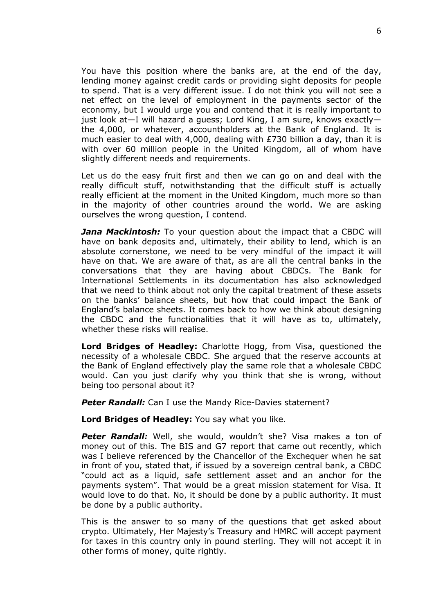You have this position where the banks are, at the end of the day, lending money against credit cards or providing sight deposits for people to spend. That is a very different issue. I do not think you will not see a net effect on the level of employment in the payments sector of the economy, but I would urge you and contend that it is really important to just look at—I will hazard a guess; Lord King, I am sure, knows exactly the 4,000, or whatever, accountholders at the Bank of England. It is much easier to deal with 4,000, dealing with £730 billion a day, than it is with over 60 million people in the United Kingdom, all of whom have slightly different needs and requirements.

Let us do the easy fruit first and then we can go on and deal with the really difficult stuff, notwithstanding that the difficult stuff is actually really efficient at the moment in the United Kingdom, much more so than in the majority of other countries around the world. We are asking ourselves the wrong question, I contend.

*Jana Mackintosh:* To your question about the impact that a CBDC will have on bank deposits and, ultimately, their ability to lend, which is an absolute cornerstone, we need to be very mindful of the impact it will have on that. We are aware of that, as are all the central banks in the conversations that they are having about CBDCs. The Bank for International Settlements in its documentation has also acknowledged that we need to think about not only the capital treatment of these assets on the banks' balance sheets, but how that could impact the Bank of England's balance sheets. It comes back to how we think about designing the CBDC and the functionalities that it will have as to, ultimately, whether these risks will realise.

**Lord Bridges of Headley:** Charlotte Hogg, from Visa, questioned the necessity of a wholesale CBDC. She argued that the reserve accounts at the Bank of England effectively play the same role that a wholesale CBDC would. Can you just clarify why you think that she is wrong, without being too personal about it?

**Peter Randall:** Can I use the Mandy Rice-Davies statement?

**Lord Bridges of Headley:** You say what you like.

Peter Randall: Well, she would, wouldn't she? Visa makes a ton of money out of this. The BIS and G7 report that came out recently, which was I believe referenced by the Chancellor of the Exchequer when he sat in front of you, stated that, if issued by a sovereign central bank, a CBDC "could act as a liquid, safe settlement asset and an anchor for the payments system". That would be a great mission statement for Visa. It would love to do that. No, it should be done by a public authority. It must be done by a public authority.

This is the answer to so many of the questions that get asked about crypto. Ultimately, Her Majesty's Treasury and HMRC will accept payment for taxes in this country only in pound sterling. They will not accept it in other forms of money, quite rightly.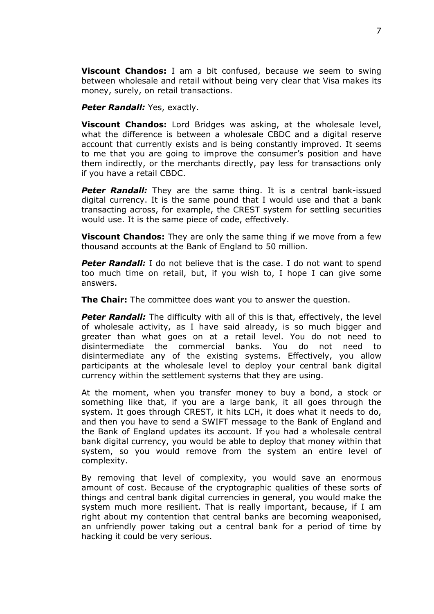**Viscount Chandos:** I am a bit confused, because we seem to swing between wholesale and retail without being very clear that Visa makes its money, surely, on retail transactions.

#### **Peter Randall:** Yes, exactly.

**Viscount Chandos:** Lord Bridges was asking, at the wholesale level, what the difference is between a wholesale CBDC and a digital reserve account that currently exists and is being constantly improved. It seems to me that you are going to improve the consumer's position and have them indirectly, or the merchants directly, pay less for transactions only if you have a retail CBDC.

*Peter Randall:* They are the same thing. It is a central bank-issued digital currency. It is the same pound that I would use and that a bank transacting across, for example, the CREST system for settling securities would use. It is the same piece of code, effectively.

**Viscount Chandos:** They are only the same thing if we move from a few thousand accounts at the Bank of England to 50 million.

**Peter Randall:** I do not believe that is the case. I do not want to spend too much time on retail, but, if you wish to, I hope I can give some answers.

**The Chair:** The committee does want you to answer the question.

**Peter Randall:** The difficulty with all of this is that, effectively, the level of wholesale activity, as I have said already, is so much bigger and greater than what goes on at a retail level. You do not need to disintermediate the commercial banks. You do not need to disintermediate any of the existing systems. Effectively, you allow participants at the wholesale level to deploy your central bank digital currency within the settlement systems that they are using.

At the moment, when you transfer money to buy a bond, a stock or something like that, if you are a large bank, it all goes through the system. It goes through CREST, it hits LCH, it does what it needs to do, and then you have to send a SWIFT message to the Bank of England and the Bank of England updates its account. If you had a wholesale central bank digital currency, you would be able to deploy that money within that system, so you would remove from the system an entire level of complexity.

By removing that level of complexity, you would save an enormous amount of cost. Because of the cryptographic qualities of these sorts of things and central bank digital currencies in general, you would make the system much more resilient. That is really important, because, if I am right about my contention that central banks are becoming weaponised, an unfriendly power taking out a central bank for a period of time by hacking it could be very serious.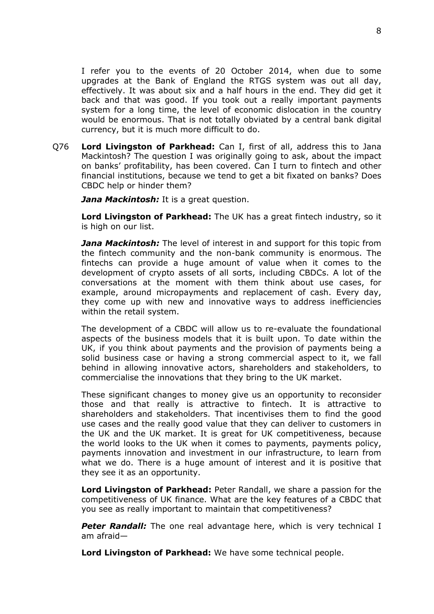I refer you to the events of 20 October 2014, when due to some upgrades at the Bank of England the RTGS system was out all day, effectively. It was about six and a half hours in the end. They did get it back and that was good. If you took out a really important payments system for a long time, the level of economic dislocation in the country would be enormous. That is not totally obviated by a central bank digital currency, but it is much more difficult to do.

Q76 **Lord Livingston of Parkhead:** Can I, first of all, address this to Jana Mackintosh? The question I was originally going to ask, about the impact on banks' profitability, has been covered. Can I turn to fintech and other financial institutions, because we tend to get a bit fixated on banks? Does CBDC help or hinder them?

*Jana Mackintosh:* It is a great question.

**Lord Livingston of Parkhead:** The UK has a great fintech industry, so it is high on our list.

*Jana Mackintosh:* The level of interest in and support for this topic from the fintech community and the non-bank community is enormous. The fintechs can provide a huge amount of value when it comes to the development of crypto assets of all sorts, including CBDCs. A lot of the conversations at the moment with them think about use cases, for example, around micropayments and replacement of cash. Every day, they come up with new and innovative ways to address inefficiencies within the retail system.

The development of a CBDC will allow us to re-evaluate the foundational aspects of the business models that it is built upon. To date within the UK, if you think about payments and the provision of payments being a solid business case or having a strong commercial aspect to it, we fall behind in allowing innovative actors, shareholders and stakeholders, to commercialise the innovations that they bring to the UK market.

These significant changes to money give us an opportunity to reconsider those and that really is attractive to fintech. It is attractive to shareholders and stakeholders. That incentivises them to find the good use cases and the really good value that they can deliver to customers in the UK and the UK market. It is great for UK competitiveness, because the world looks to the UK when it comes to payments, payments policy, payments innovation and investment in our infrastructure, to learn from what we do. There is a huge amount of interest and it is positive that they see it as an opportunity.

**Lord Livingston of Parkhead:** Peter Randall, we share a passion for the competitiveness of UK finance. What are the key features of a CBDC that you see as really important to maintain that competitiveness?

**Peter Randall:** The one real advantage here, which is very technical I am afraid—

**Lord Livingston of Parkhead:** We have some technical people.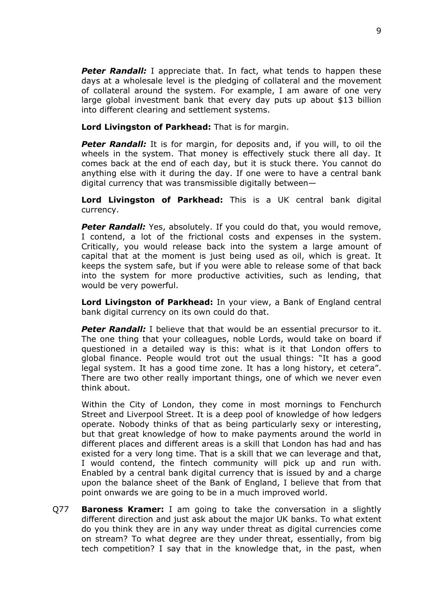**Peter Randall:** I appreciate that. In fact, what tends to happen these days at a wholesale level is the pledging of collateral and the movement of collateral around the system. For example, I am aware of one very large global investment bank that every day puts up about \$13 billion into different clearing and settlement systems.

**Lord Livingston of Parkhead:** That is for margin.

**Peter Randall:** It is for margin, for deposits and, if you will, to oil the wheels in the system. That money is effectively stuck there all day. It comes back at the end of each day, but it is stuck there. You cannot do anything else with it during the day. If one were to have a central bank digital currency that was transmissible digitally between—

**Lord Livingston of Parkhead:** This is a UK central bank digital currency.

**Peter Randall:** Yes, absolutely. If you could do that, you would remove, I contend, a lot of the frictional costs and expenses in the system. Critically, you would release back into the system a large amount of capital that at the moment is just being used as oil, which is great. It keeps the system safe, but if you were able to release some of that back into the system for more productive activities, such as lending, that would be very powerful.

**Lord Livingston of Parkhead:** In your view, a Bank of England central bank digital currency on its own could do that.

**Peter Randall:** I believe that that would be an essential precursor to it. The one thing that your colleagues, noble Lords, would take on board if questioned in a detailed way is this: what is it that London offers to global finance. People would trot out the usual things: "It has a good legal system. It has a good time zone. It has a long history, et cetera". There are two other really important things, one of which we never even think about.

Within the City of London, they come in most mornings to Fenchurch Street and Liverpool Street. It is a deep pool of knowledge of how ledgers operate. Nobody thinks of that as being particularly sexy or interesting, but that great knowledge of how to make payments around the world in different places and different areas is a skill that London has had and has existed for a very long time. That is a skill that we can leverage and that, I would contend, the fintech community will pick up and run with. Enabled by a central bank digital currency that is issued by and a charge upon the balance sheet of the Bank of England, I believe that from that point onwards we are going to be in a much improved world.

Q77 **Baroness Kramer:** I am going to take the conversation in a slightly different direction and just ask about the major UK banks. To what extent do you think they are in any way under threat as digital currencies come on stream? To what degree are they under threat, essentially, from big tech competition? I say that in the knowledge that, in the past, when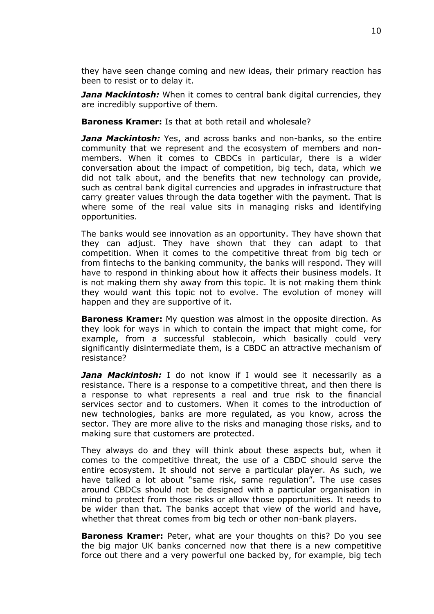they have seen change coming and new ideas, their primary reaction has been to resist or to delay it.

*Jana Mackintosh:* When it comes to central bank digital currencies, they are incredibly supportive of them.

**Baroness Kramer:** Is that at both retail and wholesale?

*Jana Mackintosh:* Yes, and across banks and non-banks, so the entire community that we represent and the ecosystem of members and nonmembers. When it comes to CBDCs in particular, there is a wider conversation about the impact of competition, big tech, data, which we did not talk about, and the benefits that new technology can provide, such as central bank digital currencies and upgrades in infrastructure that carry greater values through the data together with the payment. That is where some of the real value sits in managing risks and identifying opportunities.

The banks would see innovation as an opportunity. They have shown that they can adjust. They have shown that they can adapt to that competition. When it comes to the competitive threat from big tech or from fintechs to the banking community, the banks will respond. They will have to respond in thinking about how it affects their business models. It is not making them shy away from this topic. It is not making them think they would want this topic not to evolve. The evolution of money will happen and they are supportive of it.

**Baroness Kramer:** My question was almost in the opposite direction. As they look for ways in which to contain the impact that might come, for example, from a successful stablecoin, which basically could very significantly disintermediate them, is a CBDC an attractive mechanism of resistance?

*Jana Mackintosh:* I do not know if I would see it necessarily as a resistance. There is a response to a competitive threat, and then there is a response to what represents a real and true risk to the financial services sector and to customers. When it comes to the introduction of new technologies, banks are more regulated, as you know, across the sector. They are more alive to the risks and managing those risks, and to making sure that customers are protected.

They always do and they will think about these aspects but, when it comes to the competitive threat, the use of a CBDC should serve the entire ecosystem. It should not serve a particular player. As such, we have talked a lot about "same risk, same regulation". The use cases around CBDCs should not be designed with a particular organisation in mind to protect from those risks or allow those opportunities. It needs to be wider than that. The banks accept that view of the world and have, whether that threat comes from big tech or other non-bank players.

**Baroness Kramer:** Peter, what are your thoughts on this? Do you see the big major UK banks concerned now that there is a new competitive force out there and a very powerful one backed by, for example, big tech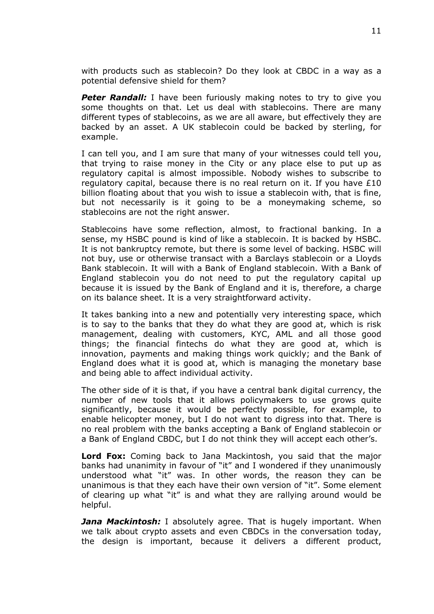with products such as stablecoin? Do they look at CBDC in a way as a potential defensive shield for them?

*Peter Randall:* I have been furiously making notes to try to give you some thoughts on that. Let us deal with stablecoins. There are many different types of stablecoins, as we are all aware, but effectively they are backed by an asset. A UK stablecoin could be backed by sterling, for example.

I can tell you, and I am sure that many of your witnesses could tell you, that trying to raise money in the City or any place else to put up as regulatory capital is almost impossible. Nobody wishes to subscribe to regulatory capital, because there is no real return on it. If you have  $£10$ billion floating about that you wish to issue a stablecoin with, that is fine, but not necessarily is it going to be a moneymaking scheme, so stablecoins are not the right answer.

Stablecoins have some reflection, almost, to fractional banking. In a sense, my HSBC pound is kind of like a stablecoin. It is backed by HSBC. It is not bankruptcy remote, but there is some level of backing. HSBC will not buy, use or otherwise transact with a Barclays stablecoin or a Lloyds Bank stablecoin. It will with a Bank of England stablecoin. With a Bank of England stablecoin you do not need to put the regulatory capital up because it is issued by the Bank of England and it is, therefore, a charge on its balance sheet. It is a very straightforward activity.

It takes banking into a new and potentially very interesting space, which is to say to the banks that they do what they are good at, which is risk management, dealing with customers, KYC, AML and all those good things; the financial fintechs do what they are good at, which is innovation, payments and making things work quickly; and the Bank of England does what it is good at, which is managing the monetary base and being able to affect individual activity.

The other side of it is that, if you have a central bank digital currency, the number of new tools that it allows policymakers to use grows quite significantly, because it would be perfectly possible, for example, to enable helicopter money, but I do not want to digress into that. There is no real problem with the banks accepting a Bank of England stablecoin or a Bank of England CBDC, but I do not think they will accept each other's.

**Lord Fox:** Coming back to Jana Mackintosh, you said that the major banks had unanimity in favour of "it" and I wondered if they unanimously understood what "it" was. In other words, the reason they can be unanimous is that they each have their own version of "it". Some element of clearing up what "it" is and what they are rallying around would be helpful.

*Jana Mackintosh:* I absolutely agree. That is hugely important. When we talk about crypto assets and even CBDCs in the conversation today, the design is important, because it delivers a different product,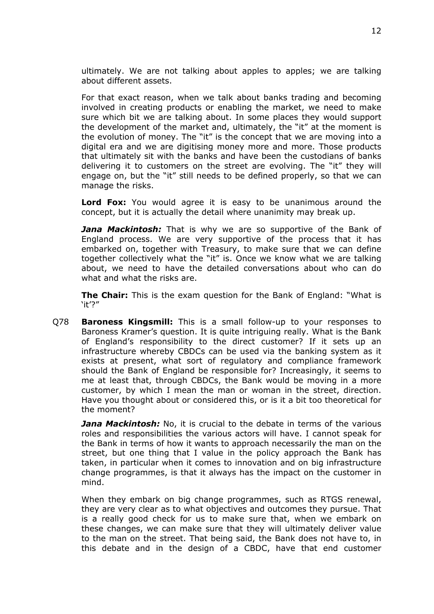ultimately. We are not talking about apples to apples; we are talking about different assets.

For that exact reason, when we talk about banks trading and becoming involved in creating products or enabling the market, we need to make sure which bit we are talking about. In some places they would support the development of the market and, ultimately, the "it" at the moment is the evolution of money. The "it" is the concept that we are moving into a digital era and we are digitising money more and more. Those products that ultimately sit with the banks and have been the custodians of banks delivering it to customers on the street are evolving. The "it" they will engage on, but the "it" still needs to be defined properly, so that we can manage the risks.

**Lord Fox:** You would agree it is easy to be unanimous around the concept, but it is actually the detail where unanimity may break up.

*Jana Mackintosh:* That is why we are so supportive of the Bank of England process. We are very supportive of the process that it has embarked on, together with Treasury, to make sure that we can define together collectively what the "it" is. Once we know what we are talking about, we need to have the detailed conversations about who can do what and what the risks are.

**The Chair:** This is the exam question for the Bank of England: "What is 'it'?"

Q78 **Baroness Kingsmill:** This is a small follow-up to your responses to Baroness Kramer's question. It is quite intriguing really. What is the Bank of England's responsibility to the direct customer? If it sets up an infrastructure whereby CBDCs can be used via the banking system as it exists at present, what sort of regulatory and compliance framework should the Bank of England be responsible for? Increasingly, it seems to me at least that, through CBDCs, the Bank would be moving in a more customer, by which I mean the man or woman in the street, direction. Have you thought about or considered this, or is it a bit too theoretical for the moment?

*Jana Mackintosh:* No, it is crucial to the debate in terms of the various roles and responsibilities the various actors will have. I cannot speak for the Bank in terms of how it wants to approach necessarily the man on the street, but one thing that I value in the policy approach the Bank has taken, in particular when it comes to innovation and on big infrastructure change programmes, is that it always has the impact on the customer in mind.

When they embark on big change programmes, such as RTGS renewal, they are very clear as to what objectives and outcomes they pursue. That is a really good check for us to make sure that, when we embark on these changes, we can make sure that they will ultimately deliver value to the man on the street. That being said, the Bank does not have to, in this debate and in the design of a CBDC, have that end customer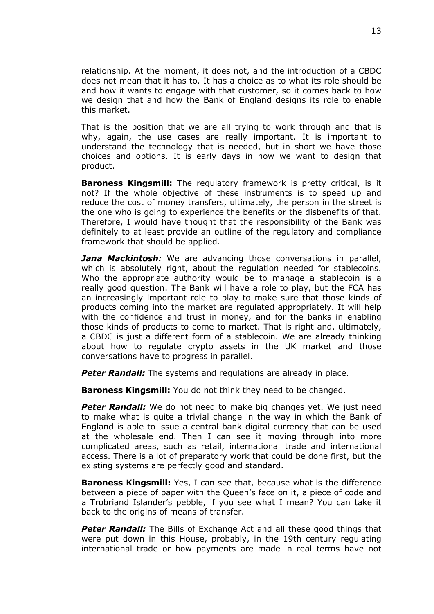relationship. At the moment, it does not, and the introduction of a CBDC does not mean that it has to. It has a choice as to what its role should be and how it wants to engage with that customer, so it comes back to how we design that and how the Bank of England designs its role to enable this market.

That is the position that we are all trying to work through and that is why, again, the use cases are really important. It is important to understand the technology that is needed, but in short we have those choices and options. It is early days in how we want to design that product.

**Baroness Kingsmill:** The regulatory framework is pretty critical, is it not? If the whole objective of these instruments is to speed up and reduce the cost of money transfers, ultimately, the person in the street is the one who is going to experience the benefits or the disbenefits of that. Therefore, I would have thought that the responsibility of the Bank was definitely to at least provide an outline of the regulatory and compliance framework that should be applied.

*Jana Mackintosh:* We are advancing those conversations in parallel, which is absolutely right, about the regulation needed for stablecoins. Who the appropriate authority would be to manage a stablecoin is a really good question. The Bank will have a role to play, but the FCA has an increasingly important role to play to make sure that those kinds of products coming into the market are regulated appropriately. It will help with the confidence and trust in money, and for the banks in enabling those kinds of products to come to market. That is right and, ultimately, a CBDC is just a different form of a stablecoin. We are already thinking about how to regulate crypto assets in the UK market and those conversations have to progress in parallel.

**Peter Randall:** The systems and regulations are already in place.

**Baroness Kingsmill:** You do not think they need to be changed.

*Peter Randall:* We do not need to make big changes yet. We just need to make what is quite a trivial change in the way in which the Bank of England is able to issue a central bank digital currency that can be used at the wholesale end. Then I can see it moving through into more complicated areas, such as retail, international trade and international access. There is a lot of preparatory work that could be done first, but the existing systems are perfectly good and standard.

**Baroness Kingsmill:** Yes, I can see that, because what is the difference between a piece of paper with the Queen's face on it, a piece of code and a Trobriand Islander's pebble, if you see what I mean? You can take it back to the origins of means of transfer.

**Peter Randall:** The Bills of Exchange Act and all these good things that were put down in this House, probably, in the 19th century regulating international trade or how payments are made in real terms have not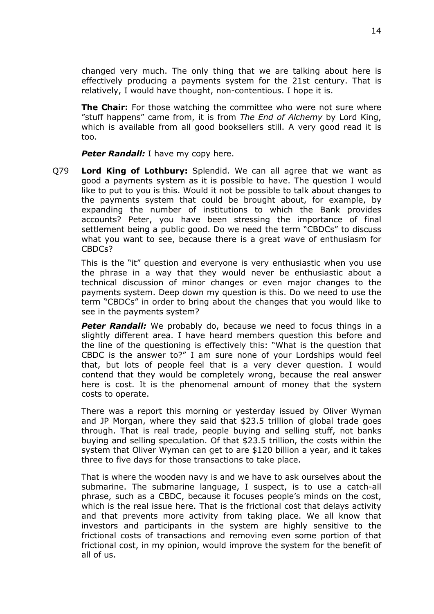changed very much. The only thing that we are talking about here is effectively producing a payments system for the 21st century. That is relatively, I would have thought, non-contentious. I hope it is.

**The Chair:** For those watching the committee who were not sure where "stuff happens" came from, it is from *The End of Alchemy* by Lord King, which is available from all good booksellers still. A very good read it is too.

**Peter Randall:** I have my copy here.

Q79 **Lord King of Lothbury:** Splendid. We can all agree that we want as good a payments system as it is possible to have. The question I would like to put to you is this. Would it not be possible to talk about changes to the payments system that could be brought about, for example, by expanding the number of institutions to which the Bank provides accounts? Peter, you have been stressing the importance of final settlement being a public good. Do we need the term "CBDCs" to discuss what you want to see, because there is a great wave of enthusiasm for CBDCs?

This is the "it" question and everyone is very enthusiastic when you use the phrase in a way that they would never be enthusiastic about a technical discussion of minor changes or even major changes to the payments system. Deep down my question is this. Do we need to use the term "CBDCs" in order to bring about the changes that you would like to see in the payments system?

**Peter Randall:** We probably do, because we need to focus things in a slightly different area. I have heard members question this before and the line of the questioning is effectively this: "What is the question that CBDC is the answer to?" I am sure none of your Lordships would feel that, but lots of people feel that is a very clever question. I would contend that they would be completely wrong, because the real answer here is cost. It is the phenomenal amount of money that the system costs to operate.

There was a report this morning or yesterday issued by Oliver Wyman and JP Morgan, where they said that \$23.5 trillion of global trade goes through. That is real trade, people buying and selling stuff, not banks buying and selling speculation. Of that \$23.5 trillion, the costs within the system that Oliver Wyman can get to are \$120 billion a year, and it takes three to five days for those transactions to take place.

That is where the wooden navy is and we have to ask ourselves about the submarine. The submarine language, I suspect, is to use a catch-all phrase, such as a CBDC, because it focuses people's minds on the cost, which is the real issue here. That is the frictional cost that delays activity and that prevents more activity from taking place. We all know that investors and participants in the system are highly sensitive to the frictional costs of transactions and removing even some portion of that frictional cost, in my opinion, would improve the system for the benefit of all of us.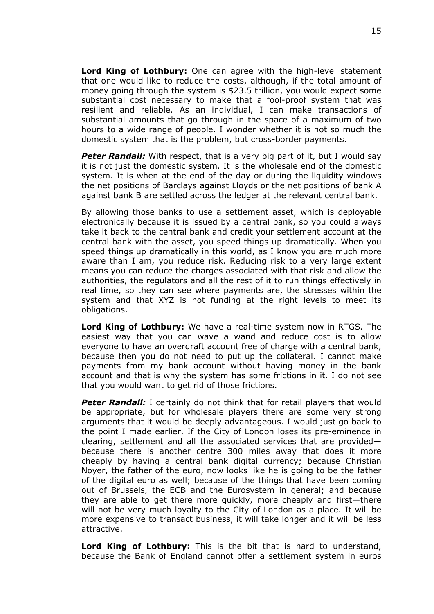**Lord King of Lothbury:** One can agree with the high-level statement that one would like to reduce the costs, although, if the total amount of money going through the system is \$23.5 trillion, you would expect some substantial cost necessary to make that a fool-proof system that was resilient and reliable. As an individual, I can make transactions of substantial amounts that go through in the space of a maximum of two hours to a wide range of people. I wonder whether it is not so much the domestic system that is the problem, but cross-border payments.

**Peter Randall:** With respect, that is a very big part of it, but I would say it is not just the domestic system. It is the wholesale end of the domestic system. It is when at the end of the day or during the liquidity windows the net positions of Barclays against Lloyds or the net positions of bank A against bank B are settled across the ledger at the relevant central bank.

By allowing those banks to use a settlement asset, which is deployable electronically because it is issued by a central bank, so you could always take it back to the central bank and credit your settlement account at the central bank with the asset, you speed things up dramatically. When you speed things up dramatically in this world, as I know you are much more aware than I am, you reduce risk. Reducing risk to a very large extent means you can reduce the charges associated with that risk and allow the authorities, the regulators and all the rest of it to run things effectively in real time, so they can see where payments are, the stresses within the system and that XYZ is not funding at the right levels to meet its obligations.

**Lord King of Lothbury:** We have a real-time system now in RTGS. The easiest way that you can wave a wand and reduce cost is to allow everyone to have an overdraft account free of charge with a central bank, because then you do not need to put up the collateral. I cannot make payments from my bank account without having money in the bank account and that is why the system has some frictions in it. I do not see that you would want to get rid of those frictions.

**Peter Randall:** I certainly do not think that for retail players that would be appropriate, but for wholesale players there are some very strong arguments that it would be deeply advantageous. I would just go back to the point I made earlier. If the City of London loses its pre-eminence in clearing, settlement and all the associated services that are provided because there is another centre 300 miles away that does it more cheaply by having a central bank digital currency; because Christian Noyer, the father of the euro, now looks like he is going to be the father of the digital euro as well; because of the things that have been coming out of Brussels, the ECB and the Eurosystem in general; and because they are able to get there more quickly, more cheaply and first—there will not be very much loyalty to the City of London as a place. It will be more expensive to transact business, it will take longer and it will be less attractive.

**Lord King of Lothbury:** This is the bit that is hard to understand, because the Bank of England cannot offer a settlement system in euros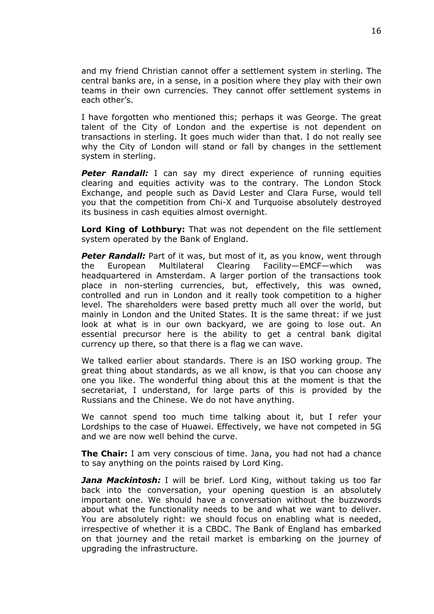and my friend Christian cannot offer a settlement system in sterling. The central banks are, in a sense, in a position where they play with their own teams in their own currencies. They cannot offer settlement systems in each other's.

I have forgotten who mentioned this; perhaps it was George. The great talent of the City of London and the expertise is not dependent on transactions in sterling. It goes much wider than that. I do not really see why the City of London will stand or fall by changes in the settlement system in sterling.

*Peter Randall:* I can say my direct experience of running equities clearing and equities activity was to the contrary. The London Stock Exchange, and people such as David Lester and Clara Furse, would tell you that the competition from Chi-X and Turquoise absolutely destroyed its business in cash equities almost overnight.

**Lord King of Lothbury:** That was not dependent on the file settlement system operated by the Bank of England.

**Peter Randall:** Part of it was, but most of it, as you know, went through the European Multilateral Clearing Facility—EMCF—which was headquartered in Amsterdam. A larger portion of the transactions took place in non-sterling currencies, but, effectively, this was owned, controlled and run in London and it really took competition to a higher level. The shareholders were based pretty much all over the world, but mainly in London and the United States. It is the same threat: if we just look at what is in our own backyard, we are going to lose out. An essential precursor here is the ability to get a central bank digital currency up there, so that there is a flag we can wave.

We talked earlier about standards. There is an ISO working group. The great thing about standards, as we all know, is that you can choose any one you like. The wonderful thing about this at the moment is that the secretariat, I understand, for large parts of this is provided by the Russians and the Chinese. We do not have anything.

We cannot spend too much time talking about it, but I refer your Lordships to the case of Huawei. Effectively, we have not competed in 5G and we are now well behind the curve.

**The Chair:** I am very conscious of time. Jana, you had not had a chance to say anything on the points raised by Lord King.

*Jana Mackintosh:* I will be brief. Lord King, without taking us too far back into the conversation, your opening question is an absolutely important one. We should have a conversation without the buzzwords about what the functionality needs to be and what we want to deliver. You are absolutely right: we should focus on enabling what is needed, irrespective of whether it is a CBDC. The Bank of England has embarked on that journey and the retail market is embarking on the journey of upgrading the infrastructure.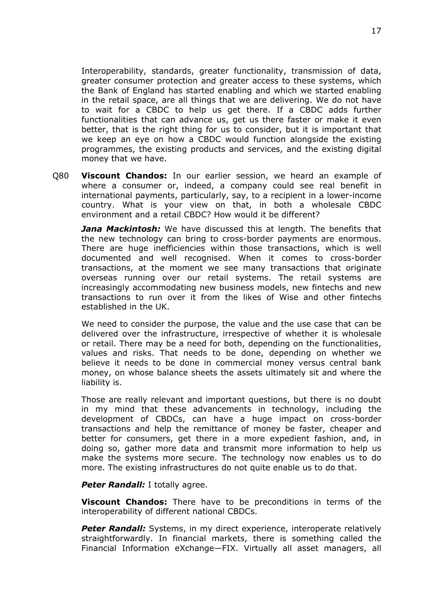Interoperability, standards, greater functionality, transmission of data, greater consumer protection and greater access to these systems, which the Bank of England has started enabling and which we started enabling in the retail space, are all things that we are delivering. We do not have to wait for a CBDC to help us get there. If a CBDC adds further functionalities that can advance us, get us there faster or make it even better, that is the right thing for us to consider, but it is important that we keep an eye on how a CBDC would function alongside the existing programmes, the existing products and services, and the existing digital money that we have.

Q80 **Viscount Chandos:** In our earlier session, we heard an example of where a consumer or, indeed, a company could see real benefit in international payments, particularly, say, to a recipient in a lower-income country. What is your view on that, in both a wholesale CBDC environment and a retail CBDC? How would it be different?

*Jana Mackintosh:* We have discussed this at length. The benefits that the new technology can bring to cross-border payments are enormous. There are huge inefficiencies within those transactions, which is well documented and well recognised. When it comes to cross-border transactions, at the moment we see many transactions that originate overseas running over our retail systems. The retail systems are increasingly accommodating new business models, new fintechs and new transactions to run over it from the likes of Wise and other fintechs established in the UK.

We need to consider the purpose, the value and the use case that can be delivered over the infrastructure, irrespective of whether it is wholesale or retail. There may be a need for both, depending on the functionalities, values and risks. That needs to be done, depending on whether we believe it needs to be done in commercial money versus central bank money, on whose balance sheets the assets ultimately sit and where the liability is.

Those are really relevant and important questions, but there is no doubt in my mind that these advancements in technology, including the development of CBDCs, can have a huge impact on cross-border transactions and help the remittance of money be faster, cheaper and better for consumers, get there in a more expedient fashion, and, in doing so, gather more data and transmit more information to help us make the systems more secure. The technology now enables us to do more. The existing infrastructures do not quite enable us to do that.

#### *Peter Randall:* I totally agree.

**Viscount Chandos:** There have to be preconditions in terms of the interoperability of different national CBDCs.

**Peter Randall:** Systems, in my direct experience, interoperate relatively straightforwardly. In financial markets, there is something called the Financial Information eXchange—FIX. Virtually all asset managers, all